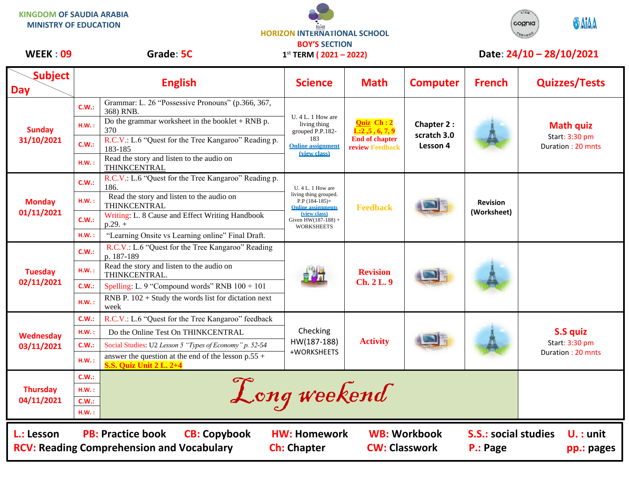**KINGDOM OF SAUDIA ARABIA MINISTRY OF EDUCATION**





## WEEK : 09 Grade: 5C 1<sup>st</sup> TERM (2021 – 2022) Date: 24/10 – 28/10/2021

| <b>Subject</b><br><b>Day</b>                                                                                                                                                                                                                                                          |          | <b>English</b>                                                                          | <b>Science</b>                                                                                                                                            | <b>Math</b>                                                                                          | <b>Computer</b>                              | <b>French</b>                  | <b>Quizzes/Tests</b>                                    |  |
|---------------------------------------------------------------------------------------------------------------------------------------------------------------------------------------------------------------------------------------------------------------------------------------|----------|-----------------------------------------------------------------------------------------|-----------------------------------------------------------------------------------------------------------------------------------------------------------|------------------------------------------------------------------------------------------------------|----------------------------------------------|--------------------------------|---------------------------------------------------------|--|
| <b>Sunday</b><br>31/10/2021                                                                                                                                                                                                                                                           | C.W.:    | Grammar: L. 26 "Possessive Pronouns" (p.366, 367,<br>368) RNB.                          | U. 4 L. 1 How are<br>living thing<br>grouped P.P.182-<br>183<br><b>Online assignment</b><br>(view class)                                                  | <b>Quiz</b> Ch: 2<br>$\overline{L:2,5}$ , 6, 7, 9<br><b>End of chapter</b><br><b>review Feedback</b> | <b>Chapter 2:</b><br>scratch 3.0<br>Lesson 4 |                                |                                                         |  |
|                                                                                                                                                                                                                                                                                       | H.W.:    | Do the grammar worksheet in the booklet $+$ RNB p.<br>370                               |                                                                                                                                                           |                                                                                                      |                                              |                                | <b>Math quiz</b><br>Start: 3:30 pm<br>Duration: 20 mnts |  |
|                                                                                                                                                                                                                                                                                       | C.W.:    | R.C.V.: L.6 "Quest for the Tree Kangaroo" Reading p.<br>183-185                         |                                                                                                                                                           |                                                                                                      |                                              |                                |                                                         |  |
|                                                                                                                                                                                                                                                                                       | $H.W.$ : | Read the story and listen to the audio on<br>THINKCENTRAL                               |                                                                                                                                                           |                                                                                                      |                                              |                                |                                                         |  |
| <b>Monday</b><br>01/11/2021                                                                                                                                                                                                                                                           | C.W.:    | R.C.V.: L.6 "Quest for the Tree Kangaroo" Reading p.<br>186.                            | U. 4 L. 1 How are<br>living thing grouped.<br>$P.P$ (184-185)+<br><b>Online assignments</b><br>(view class)<br>Given $HW(187-188) +$<br><b>WORKSHEETS</b> | <b>Feedback</b>                                                                                      |                                              | <b>Revision</b><br>(Worksheet) |                                                         |  |
|                                                                                                                                                                                                                                                                                       | H.W.:    | Read the story and listen to the audio on<br>THINKCENTRAL                               |                                                                                                                                                           |                                                                                                      |                                              |                                |                                                         |  |
|                                                                                                                                                                                                                                                                                       | C.W.:    | Writing: L. 8 Cause and Effect Writing Handbook<br>$p.29.+$                             |                                                                                                                                                           |                                                                                                      |                                              |                                |                                                         |  |
|                                                                                                                                                                                                                                                                                       | H.W.:    | "Learning Onsite vs Learning online" Final Draft.                                       |                                                                                                                                                           |                                                                                                      |                                              |                                |                                                         |  |
| <b>Tuesday</b><br>02/11/2021                                                                                                                                                                                                                                                          | C.W.:    | R.C.V.: L.6 "Quest for the Tree Kangaroo" Reading<br>p. 187-189                         |                                                                                                                                                           | <b>Revision</b><br>Ch. 2 L. 9                                                                        |                                              |                                |                                                         |  |
|                                                                                                                                                                                                                                                                                       | HM.:     | Read the story and listen to the audio on<br>THINKCENTRAL.                              |                                                                                                                                                           |                                                                                                      |                                              |                                |                                                         |  |
|                                                                                                                                                                                                                                                                                       | C.W.:    | Spelling: L. 9 "Compound words" RNB $100 + 101$                                         |                                                                                                                                                           |                                                                                                      |                                              |                                |                                                         |  |
|                                                                                                                                                                                                                                                                                       | H.W.:    | RNB P. $102 +$ Study the words list for dictation next<br>week                          |                                                                                                                                                           |                                                                                                      |                                              |                                |                                                         |  |
| Wednesday<br>03/11/2021                                                                                                                                                                                                                                                               | C.W.     | R.C.V.: L.6 "Quest for the Tree Kangaroo" feedback                                      | Checking<br>HW(187-188)<br>+WORKSHEETS                                                                                                                    | <b>Activity</b>                                                                                      |                                              |                                |                                                         |  |
|                                                                                                                                                                                                                                                                                       | H.W.:    | Do the Online Test On THINKCENTRAL                                                      |                                                                                                                                                           |                                                                                                      |                                              |                                | <b>S.S quiz</b><br>Start: 3:30 pm<br>Duration: 20 mnts  |  |
|                                                                                                                                                                                                                                                                                       | C.W.:    | Social Studies: U2 Lesson 5 "Types of Economy" p. 52-54                                 |                                                                                                                                                           |                                                                                                      |                                              |                                |                                                         |  |
|                                                                                                                                                                                                                                                                                       | HM.:     | answer the question at the end of the lesson $p.55 +$<br><b>S.S. Quiz Unit 2 L. 2+4</b> |                                                                                                                                                           |                                                                                                      |                                              |                                |                                                         |  |
|                                                                                                                                                                                                                                                                                       | C.W.:    |                                                                                         |                                                                                                                                                           |                                                                                                      |                                              |                                |                                                         |  |
| <b>Thursday</b>                                                                                                                                                                                                                                                                       | HM.:     | Long weekend                                                                            |                                                                                                                                                           |                                                                                                      |                                              |                                |                                                         |  |
| 04/11/2021                                                                                                                                                                                                                                                                            | C.W.:    |                                                                                         |                                                                                                                                                           |                                                                                                      |                                              |                                |                                                         |  |
|                                                                                                                                                                                                                                                                                       | H.W.:    |                                                                                         |                                                                                                                                                           |                                                                                                      |                                              |                                |                                                         |  |
| <b>WB: Workbook</b><br><b>S.S.: social studies</b><br>L.: Lesson<br><b>PB: Practice book</b><br><b>CB: Copybook</b><br><b>HW: Homework</b><br>$U. :$ unit<br><b>RCV: Reading Comprehension and Vocabulary</b><br><b>CW: Classwork</b><br><b>Ch: Chapter</b><br>P.: Page<br>pp.: pages |          |                                                                                         |                                                                                                                                                           |                                                                                                      |                                              |                                |                                                         |  |